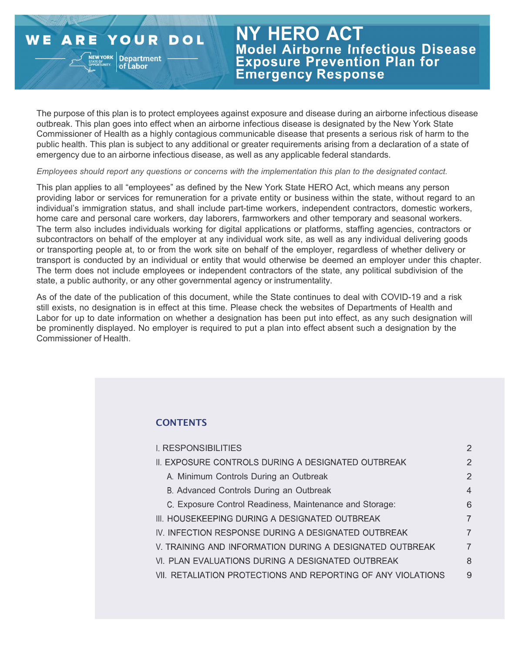#### **ARE YOUR** WE **DOL**

**NEW YORK Department** 

# **NY HERO ACT** Model Airborne Infectious Disease **Exposure Prevention Plan for Emergency Response**

The purpose of this plan is to protect employees against exposure and disease during an airborne infectious disease outbreak. This plan goes into effect when an airborne infectious disease is designated by the New York State Commissioner of Health as a highly contagious communicable disease that presents a serious risk of harm to the public health. This plan is subject to any additional or greater requirements arising from a declaration of a state of emergency due to an airborne infectious disease, as well as any applicable federal standards.

Employees should report any questions or concerns with the implementation this plan to the designated contact.

This plan applies to all "employees" as defined by the New York State HERO Act, which means any person providing labor or services for remuneration for a private entity or business within the state, without regard to an individual's immigration status, and shall include part-time workers, independent contractors, domestic workers, home care and personal care workers, day laborers, farmworkers and other temporary and seasonal workers. The term also includes individuals working for digital applications or platforms, staffing agencies, contractors or subcontractors on behalf of the employer at any individual work site, as well as any individual delivering goods or transporting people at, to or from the work site on behalf of the employer, regardless of whether delivery or transport is conducted by an individual or entity that would otherwise be deemed an employer under this chapter. The term does not include employees or independent contractors of the state, any political subdivision of the state, a public authority, or any other governmental agency or instrumentality.

As of the date of the publication of this document, while the State continues to deal with COVID-19 and a risk still exists, no designation is in effect at this time. Please check the websites of Departments of Health and Labor for up to date information on whether a designation has been put into effect, as any such designation will be prominently displayed. No employer is required to put a plan into effect absent such a designation by the Commissioner of Health.

## **CONTENTS**

| <b>I. RESPONSIBILITIES</b>                                   | $\overline{2}$ |
|--------------------------------------------------------------|----------------|
| II. EXPOSURE CONTROLS DURING A DESIGNATED OUTBREAK           | $\overline{2}$ |
| A. Minimum Controls During an Outbreak                       | $\overline{2}$ |
| B. Advanced Controls During an Outbreak                      | $\overline{4}$ |
| C. Exposure Control Readiness, Maintenance and Storage:      | 6              |
| III. HOUSEKEEPING DURING A DESIGNATED OUTBREAK               | $\overline{7}$ |
| IV. INFECTION RESPONSE DURING A DESIGNATED OUTBREAK          | $\overline{7}$ |
| V. TRAINING AND INFORMATION DURING A DESIGNATED OUTBREAK     | $\overline{7}$ |
| VI. PLAN EVALUATIONS DURING A DESIGNATED OUTBREAK            | 8              |
| VII. RETALIATION PROTECTIONS AND REPORTING OF ANY VIOLATIONS | 9              |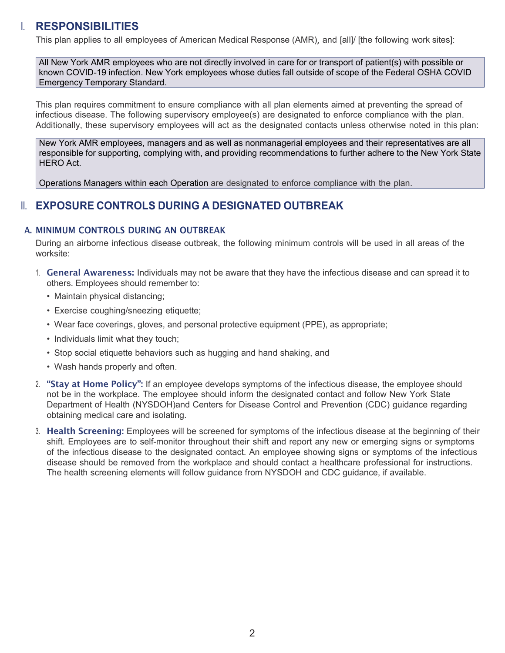## I. RESPONSIBILITIES

This plan applies to all employees of American Medical Response (AMR) , and [all]/ [the following work sites]:

All New York AMR employees who are not directly involved in care for or transport of patient(s) with possible or known COVID-19 infection. New York employees whose duties fall outside of scope of the Federal OSHA COVID Emergency Temporary Standard.

This plan requires commitment to ensure compliance with all plan elements aimed at preventing the spread of infectious disease. The following supervisory employee(s) are designated to enforce compliance with the plan. Additionally, these supervisory employees will act as the designated contacts unless otherwise noted in this plan:

New York AMR employees, managers and as well as nonmanagerial employees and their representatives are all responsible for supporting, complying with, and providing recommendations to further adhere to the New York State HERO Act.

Operations Managers within each Operation are designated to enforce compliance with the plan.

## **II. EXPOSURE CONTROLS DURING A DESIGNATED OUTBREAK**

#### A. MINIMUM CONTROLS DURING AN OUTBREAK

During an airborne infectious disease outbreak, the following minimum controls will be used in all areas of the worksite:

- 1. General Awareness: Individuals may not be aware that they have the infectious disease and can spread it to others. Employees should remember to:
	- Maintain physical distancing;
	- Exercise coughing/sneezing etiquette;
	- Wear face coverings, gloves, and personal protective equipment (PPE), as appropriate;
	- Individuals limit what they touch;
	- Stop social etiquette behaviors such as hugging and hand shaking, and
	- Wash hands properly and often.
- 2. "Stay at Home Policy": If an employee develops symptoms of the infectious disease, the employee should not be in the workplace. The employee should inform the designated contact and follow New York State Department of Health (NYSDOH)and Centers for Disease Control and Prevention (CDC) guidance regarding obtaining medical care and isolating.
- 3. Health Screening: Employees will be screened for symptoms of the infectious disease at the beginning of their shift. Employees are to self-monitor throughout their shift and report any new or emerging signs or symptoms of the infectious disease to the designated contact. An employee showing signs or symptoms of the infectious disease should be removed from the workplace and should contact a healthcare professional for instructions. The health screening elements will follow guidance from NYSDOH and CDC guidance, if available.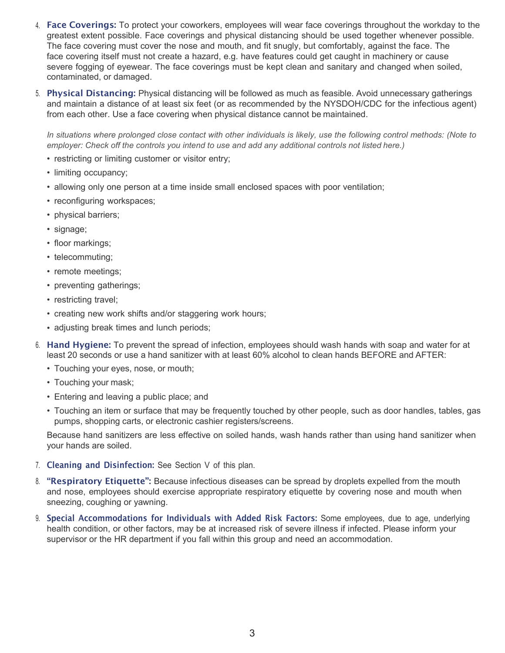- 4. Face Coverings: To protect your coworkers, employees will wear face coverings throughout the workday to the greatest extent possible. Face coverings and physical distancing should be used together whenever possible. The face covering must cover the nose and mouth, and fit snugly, but comfortably, against the face. The face covering itself must not create a hazard, e.g. have features could get caught in machinery or cause severe fogging of eyewear. The face coverings must be kept clean and sanitary and changed when soiled, contaminated, or damaged.
- 5. Physical Distancing: Physical distancing will be followed as much as feasible. Avoid unnecessary gatherings and maintain a distance of at least six feet (or as recommended by the NYSDOH/CDC for the infectious agent) from each other. Use a face covering when physical distance cannot be maintained.

In situations where prolonged close contact with other individuals is likely, use the following control methods: (Note to employer: Check off the controls you intend to use and add any additional controls not listed here.)

- restricting or limiting customer or visitor entry;
- limiting occupancy;
- allowing only one person at a time inside small enclosed spaces with poor ventilation;
- reconfiguring workspaces;
- physical barriers;
- signage;
- floor markings;
- telecommuting;
- remote meetings;
- preventing gatherings;
- restricting travel;
- creating new work shifts and/or staggering work hours;
- adjusting break times and lunch periods;
- 6. Hand Hygiene: To prevent the spread of infection, employees should wash hands with soap and water for at least 20 seconds or use a hand sanitizer with at least 60% alcohol to clean hands BEFORE and AFTER:
	- Touching your eyes, nose, or mouth;
	- Touching your mask;
	- Entering and leaving a public place; and
	- Touching an item or surface that may be frequently touched by other people, such as door handles, tables, gas pumps, shopping carts, or electronic cashier registers/screens.

Because hand sanitizers are less effective on soiled hands, wash hands rather than using hand sanitizer when your hands are soiled.

- 7. Cleaning and Disinfection: See Section V of this plan.
- 8. "Respiratory Etiquette": Because infectious diseases can be spread by droplets expelled from the mouth and nose, employees should exercise appropriate respiratory etiquette by covering nose and mouth when sneezing, coughing or yawning.
- 9. Special Accommodations for Individuals with Added Risk Factors: Some employees, due to age, underlying health condition, or other factors, may be at increased risk of severe illness if infected. Please inform your supervisor or the HR department if you fall within this group and need an accommodation.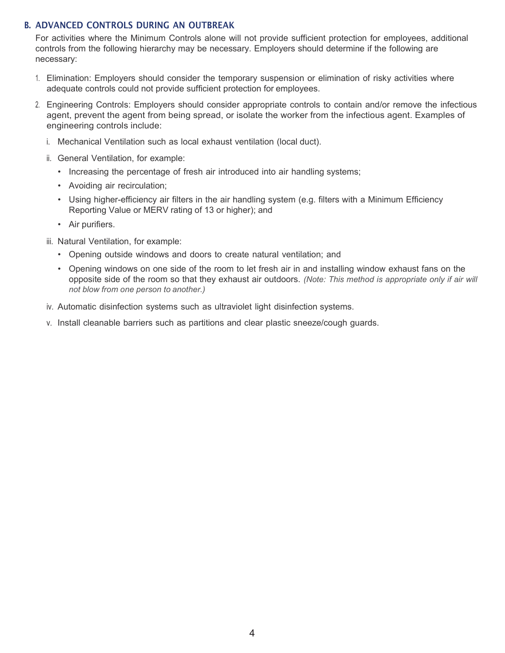### B. ADVANCED CONTROLS DURING AN OUTBREAK

For activities where the Minimum Controls alone will not provide sufficient protection for employees, additional controls from the following hierarchy may be necessary. Employers should determine if the following are necessary:

- 1. Elimination: Employers should consider the temporary suspension or elimination of risky activities where adequate controls could not provide sufficient protection for employees.
- 2. Engineering Controls: Employers should consider appropriate controls to contain and/or remove the infectious agent, prevent the agent from being spread, or isolate the worker from the infectious agent. Examples of engineering controls include:
	- i. Mechanical Ventilation such as local exhaust ventilation (local duct).
	- ii. General Ventilation, for example:
		- Increasing the percentage of fresh air introduced into air handling systems;
		- Avoiding air recirculation;
		- Using higher-efficiency air filters in the air handling system (e.g. filters with a Minimum Efficiency Reporting Value or MERV rating of 13 or higher); and
		- Air purifiers.
	- iii. Natural Ventilation, for example:
		- Opening outside windows and doors to create natural ventilation; and
		- Opening windows on one side of the room to let fresh air in and installing window exhaust fans on the opposite side of the room so that they exhaust air outdoors. (Note: This method is appropriate only if air will not blow from one person to another.)
	- iv. Automatic disinfection systems such as ultraviolet light disinfection systems.
	- v. Install cleanable barriers such as partitions and clear plastic sneeze/cough guards.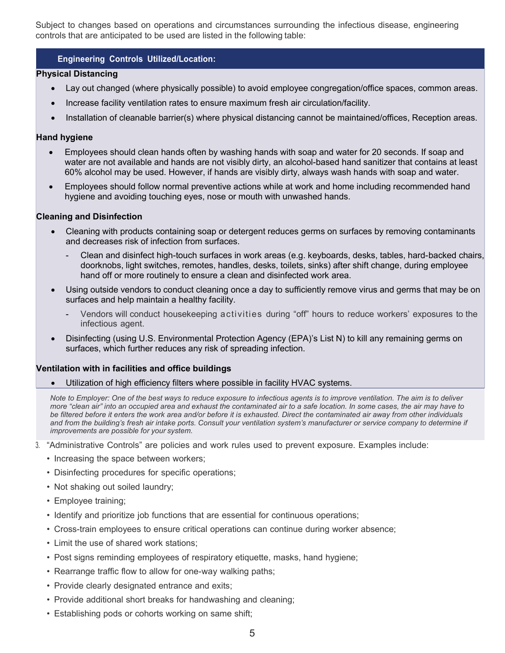Subject to changes based on operations and circumstances surrounding the infectious disease, engineering controls that are anticipated to be used are listed in the following table:

#### Engineering Controls Utilized/Location:

#### Physical Distancing

- Lay out changed (where physically possible) to avoid employee congregation/office spaces, common areas.
- Increase facility ventilation rates to ensure maximum fresh air circulation/facility.
- Installation of cleanable barrier(s) where physical distancing cannot be maintained/offices, Reception areas.

#### Hand hygiene

- Employees should clean hands often by washing hands with soap and water for 20 seconds. If soap and water are not available and hands are not visibly dirty, an alcohol-based hand sanitizer that contains at least 60% alcohol may be used. However, if hands are visibly dirty, always wash hands with soap and water.
- Employees should follow normal preventive actions while at work and home including recommended hand hygiene and avoiding touching eyes, nose or mouth with unwashed hands.

#### Cleaning and Disinfection

- Cleaning with products containing soap or detergent reduces germs on surfaces by removing contaminants and decreases risk of infection from surfaces.
	- Clean and disinfect high-touch surfaces in work areas (e.g. keyboards, desks, tables, hard-backed chairs, doorknobs, light switches, remotes, handles, desks, toilets, sinks) after shift change, during employee hand off or more routinely to ensure a clean and disinfected work area.
- Using outside vendors to conduct cleaning once a day to sufficiently remove virus and germs that may be on surfaces and help maintain a healthy facility.
	- Vendors will conduct housekeeping activities during "off" hours to reduce workers' exposures to the infectious agent.
- Disinfecting (using U.S. Environmental Protection Agency (EPA)'s List N) to kill any remaining germs on surfaces, which further reduces any risk of spreading infection.

#### Ventilation with in facilities and office buildings

Utilization of high efficiency filters where possible in facility HVAC systems.

Note to Employer: One of the best ways to reduce exposure to infectious agents is to improve ventilation. The aim is to deliver more "clean air" into an occupied area and exhaust the contaminated air to a safe location. In some cases, the air may have to be filtered before it enters the work area and/or before it is exhausted. Direct the contaminated air away from other individuals and from the building's fresh air intake ports. Consult your ventilation system's manufacturer or service company to determine if improvements are possible for your system.

- 3. "Administrative Controls" are policies and work rules used to prevent exposure. Examples include:
	- Increasing the space between workers;
	- Disinfecting procedures for specific operations;
	- Not shaking out soiled laundry;
	- Employee training;
	- Identify and prioritize job functions that are essential for continuous operations;
	- Cross-train employees to ensure critical operations can continue during worker absence;
	- Limit the use of shared work stations;
	- Post signs reminding employees of respiratory etiquette, masks, hand hygiene;
	- Rearrange traffic flow to allow for one-way walking paths;
	- Provide clearly designated entrance and exits;
	- Provide additional short breaks for handwashing and cleaning;
	- Establishing pods or cohorts working on same shift;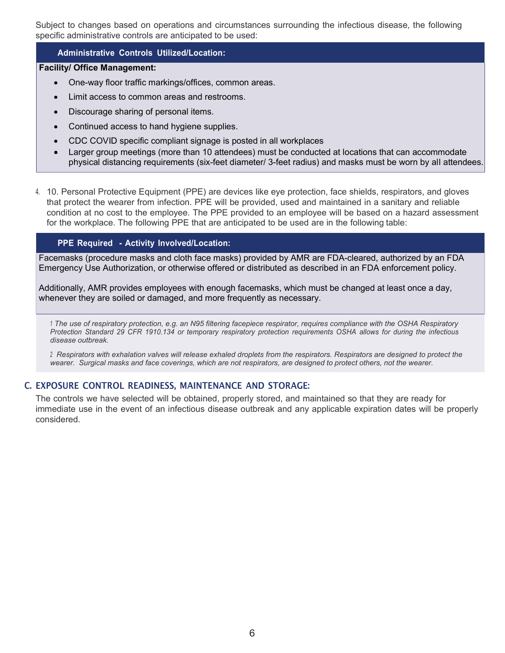Subject to changes based on operations and circumstances surrounding the infectious disease, the following specific administrative controls are anticipated to be used:

#### Administrative Controls Utilized/Location:

#### Facility/ Office Management:

- One-way floor traffic markings/offices, common areas.
- Limit access to common areas and restrooms.
- Discourage sharing of personal items.
- Continued access to hand hygiene supplies.
- CDC COVID specific compliant signage is posted in all workplaces
- Larger group meetings (more than 10 attendees) must be conducted at locations that can accommodate physical distancing requirements (six-feet diameter/ 3-feet radius) and masks must be worn by all attendees.
- 4. 10. Personal Protective Equipment (PPE) are devices like eye protection, face shields, respirators, and gloves that protect the wearer from infection. PPE will be provided, used and maintained in a sanitary and reliable condition at no cost to the employee. The PPE provided to an employee will be based on a hazard assessment for the workplace. The following PPE that are anticipated to be used are in the following table:

#### PPE Required - Activity Involved/Location:

Facemasks (procedure masks and cloth face masks) provided by AMR are FDA-cleared, authorized by an FDA Emergency Use Authorization, or otherwise offered or distributed as described in an FDA enforcement policy.

Additionally, AMR provides employees with enough facemasks, which must be changed at least once a day, whenever they are soiled or damaged, and more frequently as necessary.

<sup>1</sup>The use of respiratory protection, e.g. an N95 filtering facepiece respirator, requires compliance with the OSHA Respiratory Protection Standard 29 CFR 1910.134 or temporary respiratory protection requirements OSHA allows for during the infectious disease outbreak.

<sup>2</sup>Respirators with exhalation valves will release exhaled droplets from the respirators. Respirators are designed to protect the wearer. Surgical masks and face coverings, which are not respirators, are designed to protect others, not the wearer.

#### C. EXPOSURE CONTROL READINESS, MAINTENANCE AND STORAGE:

The controls we have selected will be obtained, properly stored, and maintained so that they are ready for immediate use in the event of an infectious disease outbreak and any applicable expiration dates will be properly considered.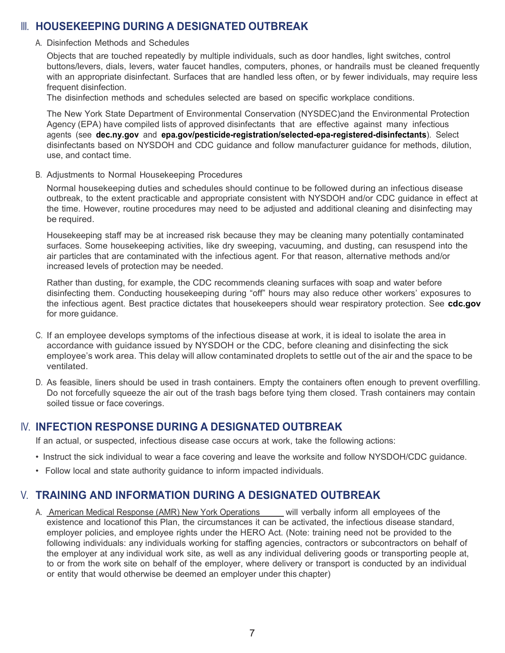## III. HOUSEKEEPING DURING A DESIGNATED OUTBREAK

#### A. Disinfection Methods and Schedules

Objects that are touched repeatedly by multiple individuals, such as door handles, light switches, control buttons/levers, dials, levers, water faucet handles, computers, phones, or handrails must be cleaned frequently with an appropriate disinfectant. Surfaces that are handled less often, or by fewer individuals, may require less frequent disinfection.

The disinfection methods and schedules selected are based on specific workplace conditions.

The New York State Department of Environmental Conservation (NYSDEC)and the Environmental Protection Agency (EPA) have compiled lists of approved disinfectants that are effective against many infectious agents (see dec.ny.gov and epa.gov/pesticide-registration/selected-epa-registered-disinfectants). Select disinfectants based on NYSDOH and CDC guidance and follow manufacturer guidance for methods, dilution, use, and contact time.

B. Adjustments to Normal Housekeeping Procedures

Normal housekeeping duties and schedules should continue to be followed during an infectious disease outbreak, to the extent practicable and appropriate consistent with NYSDOH and/or CDC guidance in effect at the time. However, routine procedures may need to be adjusted and additional cleaning and disinfecting may be required.

Housekeeping staff may be at increased risk because they may be cleaning many potentially contaminated surfaces. Some housekeeping activities, like dry sweeping, vacuuming, and dusting, can resuspend into the air particles that are contaminated with the infectious agent. For that reason, alternative methods and/or increased levels of protection may be needed.

Rather than dusting, for example, the CDC recommends cleaning surfaces with soap and water before disinfecting them. Conducting housekeeping during "off" hours may also reduce other workers' exposures to the infectious agent. Best practice dictates that housekeepers should wear respiratory protection. See cdc.gov for more guidance.

- C. If an employee develops symptoms of the infectious disease at work, it is ideal to isolate the area in accordance with guidance issued by NYSDOH or the CDC, before cleaning and disinfecting the sick employee's work area. This delay will allow contaminated droplets to settle out of the air and the space to be ventilated.
- D. As feasible, liners should be used in trash containers. Empty the containers often enough to prevent overfilling. Do not forcefully squeeze the air out of the trash bags before tying them closed. Trash containers may contain soiled tissue or face coverings.

## IV. INFECTION RESPONSE DURING A DESIGNATED OUTBREAK

If an actual, or suspected, infectious disease case occurs at work, take the following actions:

- Instruct the sick individual to wear a face covering and leave the worksite and follow NYSDOH/CDC guidance.
- Follow local and state authority guidance to inform impacted individuals.

## V. TRAINING AND INFORMATION DURING A DESIGNATED OUTBREAK

A. American Medical Response (AMR) New York Operations will verbally inform all employees of the existence and location of this Plan, the circumstances it can be activated, the infectious disease standard, employer policies, and employee rights under the HERO Act. (Note: training need not be provided to the following individuals: any individuals working for staffing agencies, contractors or subcontractors on behalf of the employer at any individual work site, as well as any individual delivering goods or transporting people at, to or from the work site on behalf of the employer, where delivery or transport is conducted by an individual or entity that would otherwise be deemed an employer under this chapter)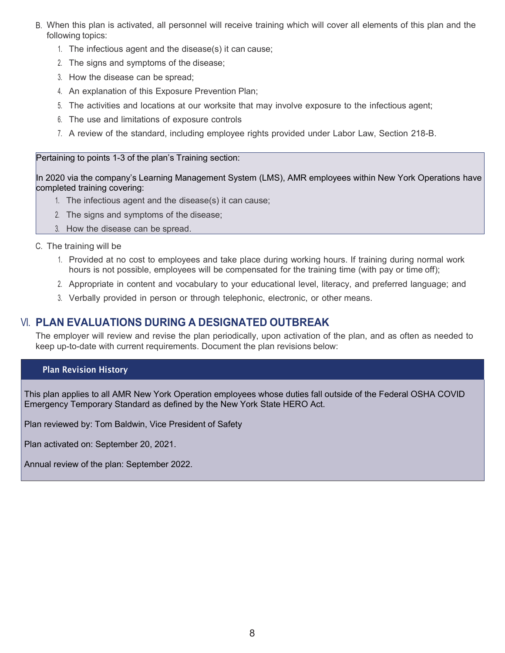- B. When this plan is activated, all personnel will receive training which will cover all elements of this plan and the following topics:
	- 1. The infectious agent and the disease(s) it can cause;
	- 2. The signs and symptoms of the disease;
	- 3. How the disease can be spread;
	- 4. An explanation of this Exposure Prevention Plan;
	- 5. The activities and locations at our worksite that may involve exposure to the infectious agent;
	- 6. The use and limitations of exposure controls
	- 7. A review of the standard, including employee rights provided under Labor Law, Section 218-B.

#### Pertaining to points 1-3 of the plan's Training section:

In 2020 via the company's Learning Management System (LMS), AMR employees within New York Operations have completed training covering:

- 1. The infectious agent and the disease(s) it can cause;
- 2. The signs and symptoms of the disease;
- 3. How the disease can be spread.
- C. The training will be
	- 1. Provided at no cost to employees and take place during working hours. If training during normal work hours is not possible, employees will be compensated for the training time (with pay or time off);
	- 2. Appropriate in content and vocabulary to your educational level, literacy, and preferred language; and
	- 3. Verbally provided in person or through telephonic, electronic, or other means.

## VI. PLAN EVALUATIONS DURING A DESIGNATED OUTBREAK

The employer will review and revise the plan periodically, upon activation of the plan, and as often as needed to keep up-to-date with current requirements. Document the plan revisions below:

#### Plan Revision History

This plan applies to all AMR New York Operation employees whose duties fall outside of the Federal OSHA COVID Emergency Temporary Standard as defined by the New York State HERO Act.

Plan reviewed by: Tom Baldwin, Vice President of Safety

Plan activated on: September 20, 2021.

Annual review of the plan: September 2022.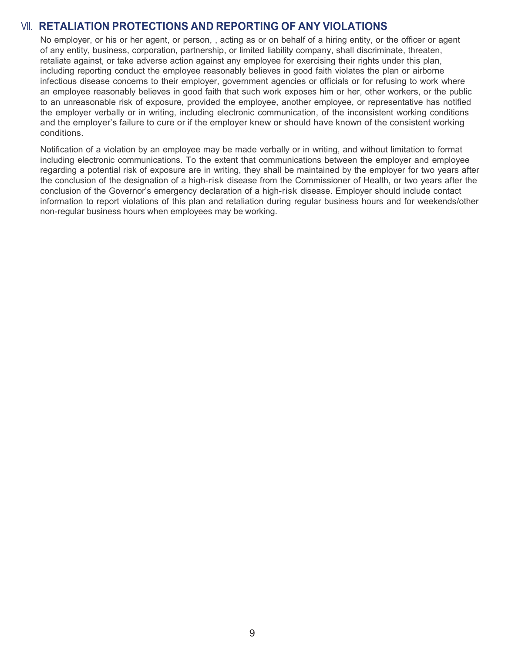## VII. RETALIATION PROTECTIONS AND REPORTING OF ANY VIOLATIONS

No employer, or his or her agent, or person, , acting as or on behalf of a hiring entity, or the officer or agent of any entity, business, corporation, partnership, or limited liability company, shall discriminate, threaten, retaliate against, or take adverse action against any employee for exercising their rights under this plan, including reporting conduct the employee reasonably believes in good faith violates the plan or airborne infectious disease concerns to their employer, government agencies or officials or for refusing to work where an employee reasonably believes in good faith that such work exposes him or her, other workers, or the public to an unreasonable risk of exposure, provided the employee, another employee, or representative has notified the employer verbally or in writing, including electronic communication, of the inconsistent working conditions and the employer's failure to cure or if the employer knew or should have known of the consistent working conditions.

Notification of a violation by an employee may be made verbally or in writing, and without limitation to format including electronic communications. To the extent that communications between the employer and employee regarding a potential risk of exposure are in writing, they shall be maintained by the employer for two years after the conclusion of the designation of a high-risk disease from the Commissioner of Health, or two years after the conclusion of the Governor's emergency declaration of a high-risk disease. Employer should include contact information to report violations of this plan and retaliation during regular business hours and for weekends/other non-regular business hours when employees may be working.